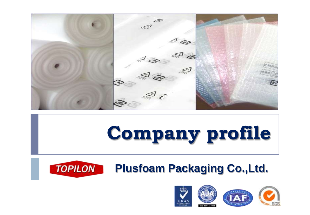

# **Company profile**

#### **TOPILON Plusfoam Packaging Co.,Ltd.**

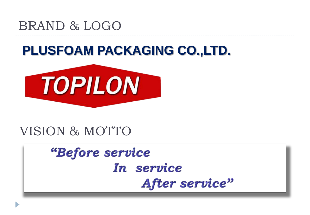# BRAND & LOGO

# **PLUSFOAM PACKAGING CO.,LTD.**



# VISION & MOTTO

# *"Before service* In service After service"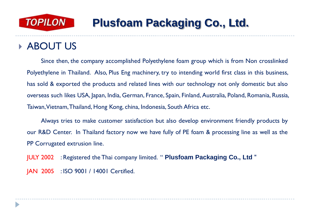

#### ABOUT US

D

Since then, the company accomplished Polyethylene foam group which is from Non crosslinked Polyethylene in Thailand. Also, Plus Eng machinery, try to intending world first class in this business, has sold & exported the products and related lines with our technology not only domestic but also overseas such likes USA, Japan, India, German, France, Spain, Finland, Australia, Poland, Romania, Russia, Taiwan,Vietnam,Thailand, Hong Kong, china, Indonesia, South Africa etc.

Always tries to make customer satisfaction but also develop environment friendly products by our R&D Center. In Thailand factory now we have fully of PE foam & processing line as well as the PP Corrugated extrusion line.

JULY 2002 : Registered the Thai company limited. " **Plusfoam Packaging Co., Ltd** " JAN 2005 : ISO 9001 / 14001 Certified.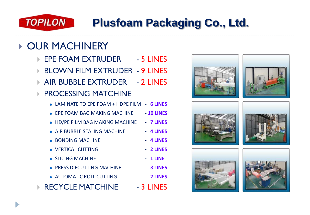

#### **DUR MACHINERY**

- ▶ EPE FOAM EXTRUDER 5 LINES
- ▶ BLOWN FILM EXTRUDER 9 LINES
- **AIR BUBBLE EXTRUDER 2 LINES**

#### **PROCESSING MATCHINE**

|  | • LAMINATE TO EPE FOAM + HDPE FILM - 6 LINES |  |  |
|--|----------------------------------------------|--|--|
|--|----------------------------------------------|--|--|

- EPE FOAM BAG MAKING MACHINE **- 10 LINES**
- HD/PE FILM BAG MAKING MACHINE **- 7 LINES**
- AIR BUBBLE SEALING MACHINE **- 4 LINES**
- BONDING MACHINE **- 4 LINES**
- VERTICAL CUTTING **- 2 LINES**
- SLICING MACHINE **- 1 LINE**
- PRESS DIECUTTING MACHINE **- 3 LINES**
- AUTOMATIC ROLL CUTTING **- 2 LINES**
- **RECYCLE MATCHINE 4. 3 LINES**











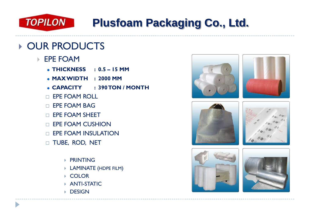

- EPE FOAM
	- **THICKNESS : 0.5 – 15 MM**
	- **MAX WIDTH : 2000 MM**
	- **CAPACITY : 390 TON / MONTH**
	- $\Box$  FPF FOAM ROLL
	- **EPE FOAM BAG**
	- $\Box$  FPF FOAM SHEFT
	- $\Box$  FPF FOAM CUSHION
	- $\Box$  EPE FOAM INSULATION
	- TUBE, ROD, NET
		- **PRINTING**
		- LAMINATE (HDPE FILM)
		- ▶ COLOR
		- ANTI-STATIC
		- **DESIGN**











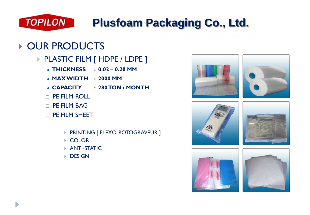

- ▶ PLASTIC FILM [ HDPE / LDPE ]
	- **THICKNESS : 0.02 – 0.20 MM**
	- **MAX WIDTH : 2000 MM**
	- **CAPACITY : 280 TON / MONTH**
	- $\Box$  PF FILM ROLL
	- $\Box$  PF FILM BAG
	- PE FILM SHEET
		- **PRINTING [ FLEXO, ROTOGRAVEUR ]**
		- COLOR
		- ANTI-STATIC
		- **DESIGN**











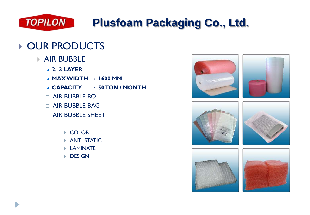

- **AIR BUBBLE** 
	- **2, 3 LAYER**
	- **MAX WIDTH : 1600 MM**
	- **CAPACITY : 50 TON / MONTH**
	- $\Box$  AIR BUBBLE ROLL
	- $\Box$  AIR BUBBLE BAG
	- AIR BUBBLE SHEET
		- ▶ COLOR
		- ANTI-STATIC
		- LAMINATE
		- **DESIGN**

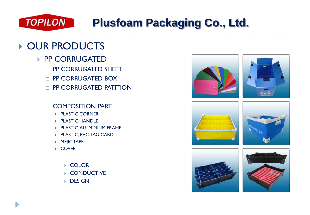![](_page_7_Picture_0.jpeg)

- PP CORRUGATED
	- **D** PP CORRUGATED SHEET
	- **D** PP CORRUGATED BOX
	- $\Box$  PP CORRUGATED PATITION
	- COMPOSITION PART
		- ▶ PLASTIC CORNER
		- ▶ PLASTIC HANDLE
		- PLASTIC, ALUMINIUM FRAME
		- ▶ PLASTIC, PVC. TAG CARD
		- ▶ MEJIC TAPE
		- $\triangleright$  COVER
			- ▶ COLOR
			- **CONDUCTIVE**
			- $\triangleright$  DESIGN

![](_page_7_Picture_17.jpeg)

![](_page_7_Picture_18.jpeg)

![](_page_7_Picture_19.jpeg)

![](_page_7_Picture_20.jpeg)

![](_page_7_Picture_21.jpeg)

![](_page_7_Picture_22.jpeg)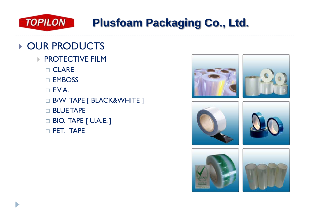![](_page_8_Picture_0.jpeg)

- **PROTECTIVE FILM** 
	- □ CLARE
	- EMBOSS
	- $\Box$  EVA.
	- □ B/W TAPE [ BLACK&WHITE ]
	- $\Box$  BLUE TAPE
	- □ BIO. TAPE [ U.A.E. ]
	- $\Box$  PET. TAPE

![](_page_8_Picture_11.jpeg)

![](_page_8_Picture_12.jpeg)

![](_page_8_Picture_13.jpeg)

![](_page_8_Picture_14.jpeg)

![](_page_8_Picture_15.jpeg)

![](_page_8_Picture_16.jpeg)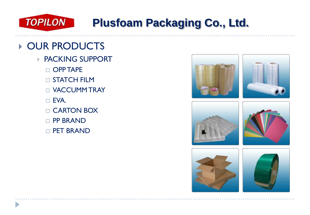![](_page_9_Picture_0.jpeg)

- ▶ PACKING SUPPORT
	- $\Box$  OPP TAPE
	- **D** STATCH FILM
	- VACCUMM TRAY
	- EVA.
	- □ CARTON BOX
	- $\Box$  PP BRAND
	- $\Box$  PET BRAND

![](_page_9_Picture_11.jpeg)

![](_page_9_Picture_12.jpeg)

![](_page_9_Picture_13.jpeg)

![](_page_9_Picture_14.jpeg)

![](_page_9_Picture_15.jpeg)

![](_page_9_Picture_16.jpeg)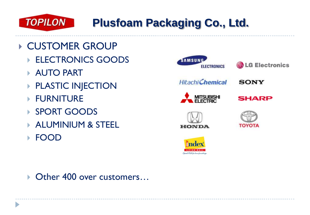![](_page_10_Picture_0.jpeg)

- CUSTOMER GROUP
	- ELECTRONICS GOODS
	- ▶ AUTO PART
	- **PLASTIC INJECTION**
	- ▶ FURNITURE
	- ▶ SPORT GOODS
	- **ALUMINIUM & STEEL**
	- FOOD

![](_page_10_Picture_10.jpeg)

▶ Other 400 over customers...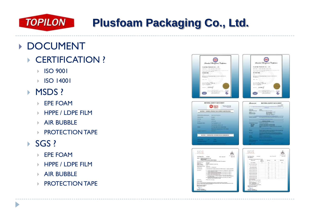![](_page_11_Picture_0.jpeg)

### ▶ DOCUMENT

- ▶ CERTIFICATION ?
	- **ISO 9001**
	- **ISO 14001**

#### **MSDS?**

- EPE FOAM
- **HPPE / LDPF FILM**
- **AIR BUBBLE**
- **PROTECTION TAPE**

#### $\rightarrow$  SGS ?

D

- EPE FOAM
- **HPPE / LDPE FILM**
- **AIR BUBBLE**
- **PROTECTION TAPE**

![](_page_11_Picture_16.jpeg)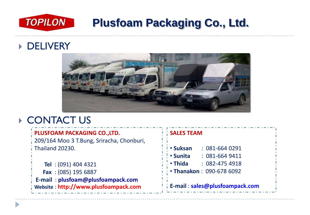![](_page_12_Picture_0.jpeg)

#### ▶ **DELIVERY**

![](_page_12_Picture_3.jpeg)

#### ▶ CONTACT US

| <b>PLUSFOAM PACKAGING CO.,LTD.</b>                                               | <b>SALES TEAM</b>                    |  |  |
|----------------------------------------------------------------------------------|--------------------------------------|--|--|
| 209/164 Moo 3 T.Bung, Sriracha, Chonburi,                                        |                                      |  |  |
| $\overline{1}$ Thailand 20230.                                                   | <b>· Suksan</b><br>$: 081 - 6640291$ |  |  |
|                                                                                  | • Sunita<br>$: 081-6649411$          |  |  |
| Tel: (091) 404 4321                                                              | • Thida : 082-475 4918               |  |  |
| Fax: (085) 195 6887                                                              | • Thanakon: 090-678 6092             |  |  |
| <b>E-mail: plusfoam@plusfoampack.com</b><br>Website: http://www.plusfoampack.com | Fig. E-mail: sales@plusfoampack.com  |  |  |